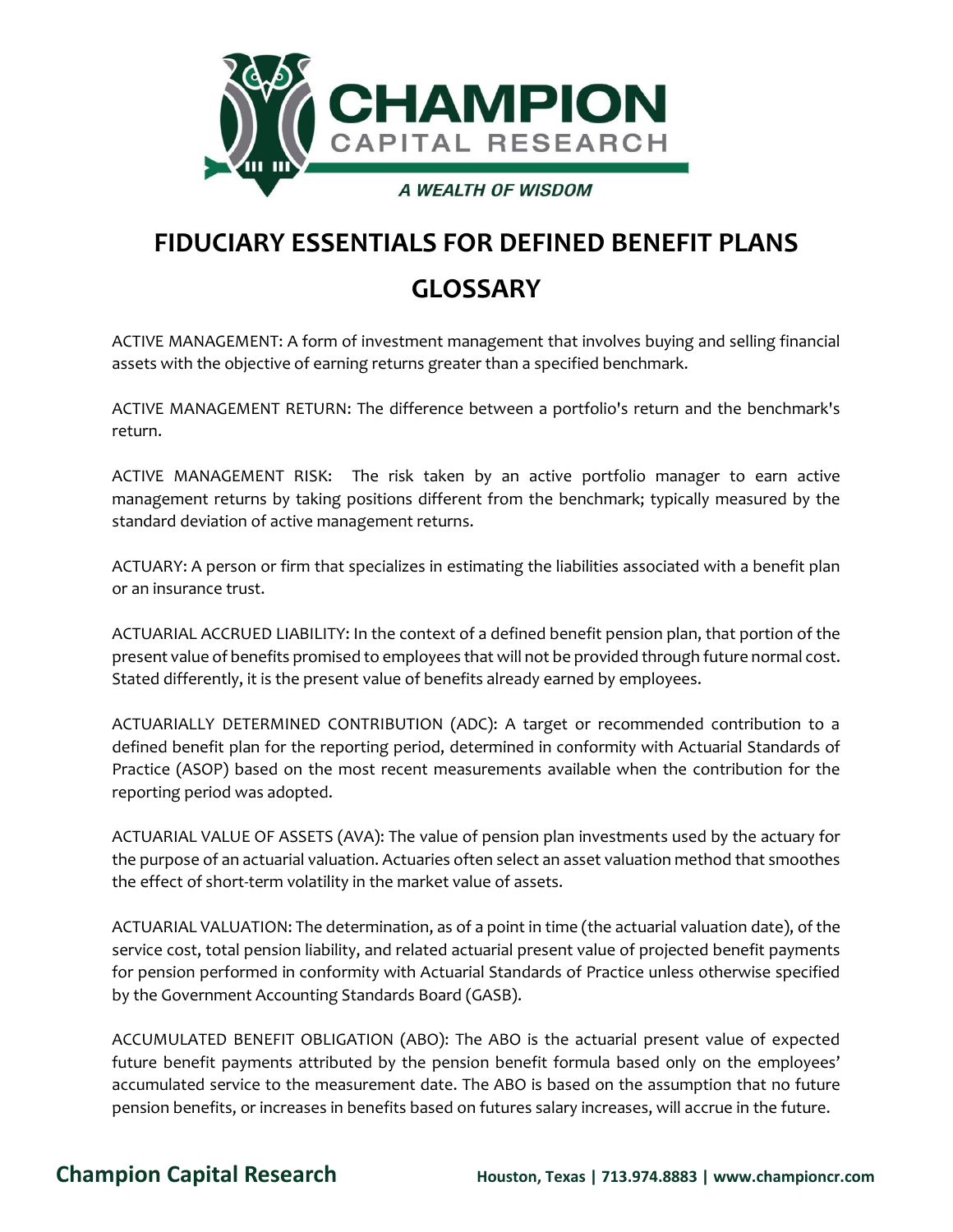

# **FIDUCIARY ESSENTIALS FOR DEFINED BENEFIT PLANS GLOSSARY**

ACTIVE MANAGEMENT: A form of investment management that involves buying and selling financial assets with the objective of earning returns greater than a specified benchmark.

ACTIVE MANAGEMENT RETURN: The difference between a portfolio's return and the benchmark's return.

ACTIVE MANAGEMENT RISK: The risk taken by an active portfolio manager to earn active management returns by taking positions different from the benchmark; typically measured by the standard deviation of active management returns.

ACTUARY: A person or firm that specializes in estimating the liabilities associated with a benefit plan or an insurance trust.

ACTUARIAL ACCRUED LIABILITY: In the context of a defined benefit pension plan, that portion of the present value of benefits promised to employees that will not be provided through future normal cost. Stated differently, it is the present value of benefits already earned by employees.

ACTUARIALLY DETERMINED CONTRIBUTION (ADC): A target or recommended contribution to a defined benefit plan for the reporting period, determined in conformity with Actuarial Standards of Practice (ASOP) based on the most recent measurements available when the contribution for the reporting period was adopted.

ACTUARIAL VALUE OF ASSETS (AVA): The value of pension plan investments used by the actuary for the purpose of an actuarial valuation. Actuaries often select an asset valuation method that smoothes the effect of short-term volatility in the market value of assets.

ACTUARIAL VALUATION: The determination, as of a point in time (the actuarial valuation date), of the service cost, total pension liability, and related actuarial present value of projected benefit payments for pension performed in conformity with Actuarial Standards of Practice unless otherwise specified by the Government Accounting Standards Board (GASB).

ACCUMULATED BENEFIT OBLIGATION (ABO): The ABO is the actuarial present value of expected future benefit payments attributed by the pension benefit formula based only on the employees' accumulated service to the measurement date. The ABO is based on the assumption that no future pension benefits, or increases in benefits based on futures salary increases, will accrue in the future.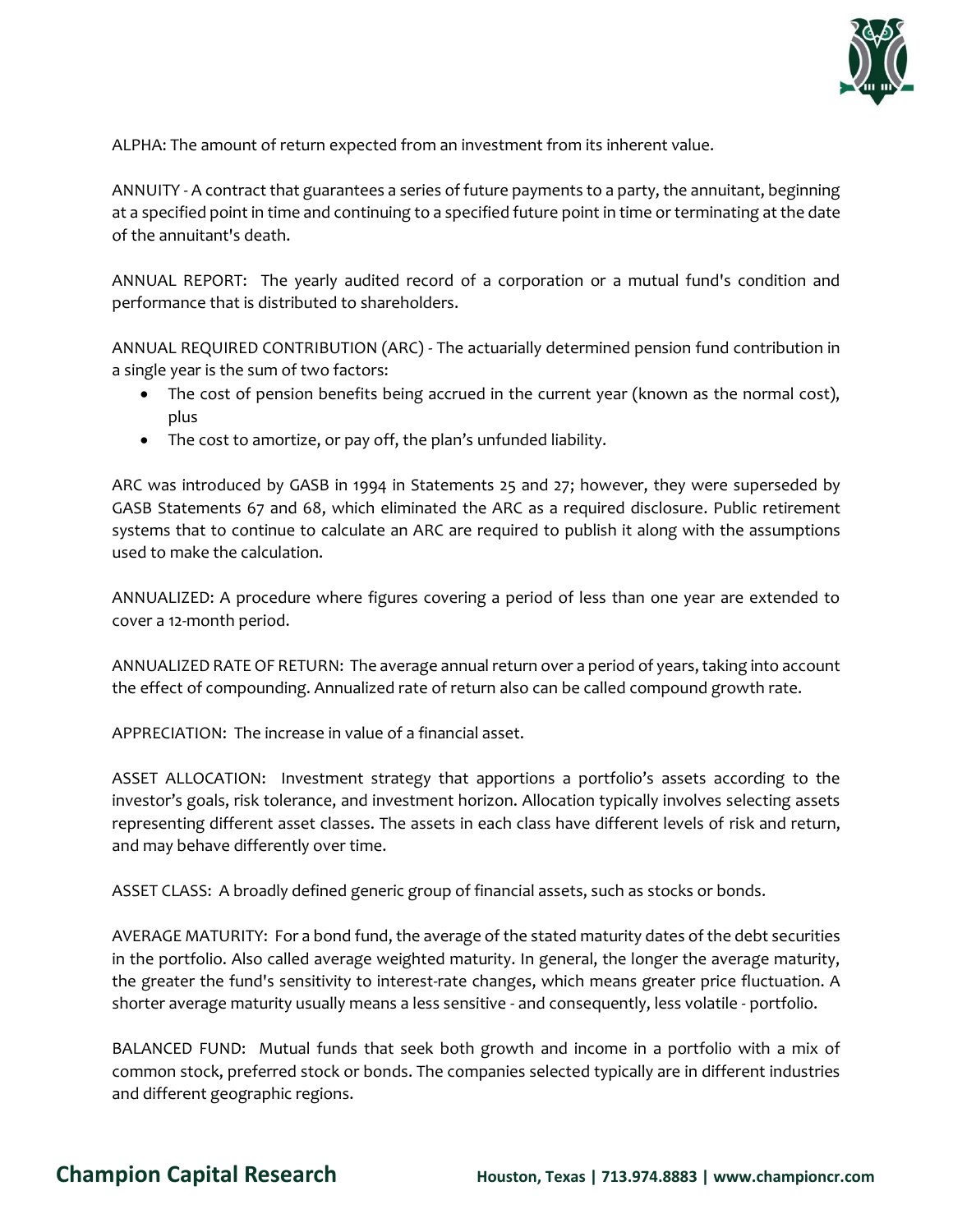

ALPHA: The amount of return expected from an investment from its inherent value.

ANNUITY - A contract that guarantees a series of future payments to a party, the annuitant, beginning at a specified point in time and continuing to a specified future point in time or terminating at the date of the annuitant's death.

ANNUAL REPORT: The yearly audited record of a corporation or a mutual fund's condition and performance that is distributed to shareholders.

ANNUAL REQUIRED CONTRIBUTION (ARC) - The actuarially determined pension fund contribution in a single year is the sum of two factors:

- The cost of pension benefits being accrued in the current year (known as the normal cost), plus
- The cost to amortize, or pay off, the plan's unfunded liability.

ARC was introduced by GASB in 1994 in Statements 25 and 27; however, they were superseded by GASB Statements 67 and 68, which eliminated the ARC as a required disclosure. Public retirement systems that to continue to calculate an ARC are required to publish it along with the assumptions used to make the calculation.

ANNUALIZED: A procedure where figures covering a period of less than one year are extended to cover a 12-month period.

ANNUALIZED RATE OF RETURN: The average annual return over a period of years, taking into account the effect of compounding. Annualized rate of return also can be called compound growth rate.

APPRECIATION: The increase in value of a financial asset.

ASSET ALLOCATION: Investment strategy that apportions a portfolio's assets according to the investor's goals, risk tolerance, and investment horizon. Allocation typically involves selecting assets representing different asset classes. The assets in each class have different levels of risk and return, and may behave differently over time.

ASSET CLASS: A broadly defined generic group of financial assets, such as stocks or bonds.

AVERAGE MATURITY: For a bond fund, the average of the stated maturity dates of the debt securities in the portfolio. Also called average weighted maturity. In general, the longer the average maturity, the greater the fund's sensitivity to interest-rate changes, which means greater price fluctuation. A shorter average maturity usually means a less sensitive - and consequently, less volatile - portfolio.

BALANCED FUND: Mutual funds that seek both growth and income in a portfolio with a mix of common stock, preferred stock or bonds. The companies selected typically are in different industries and different geographic regions.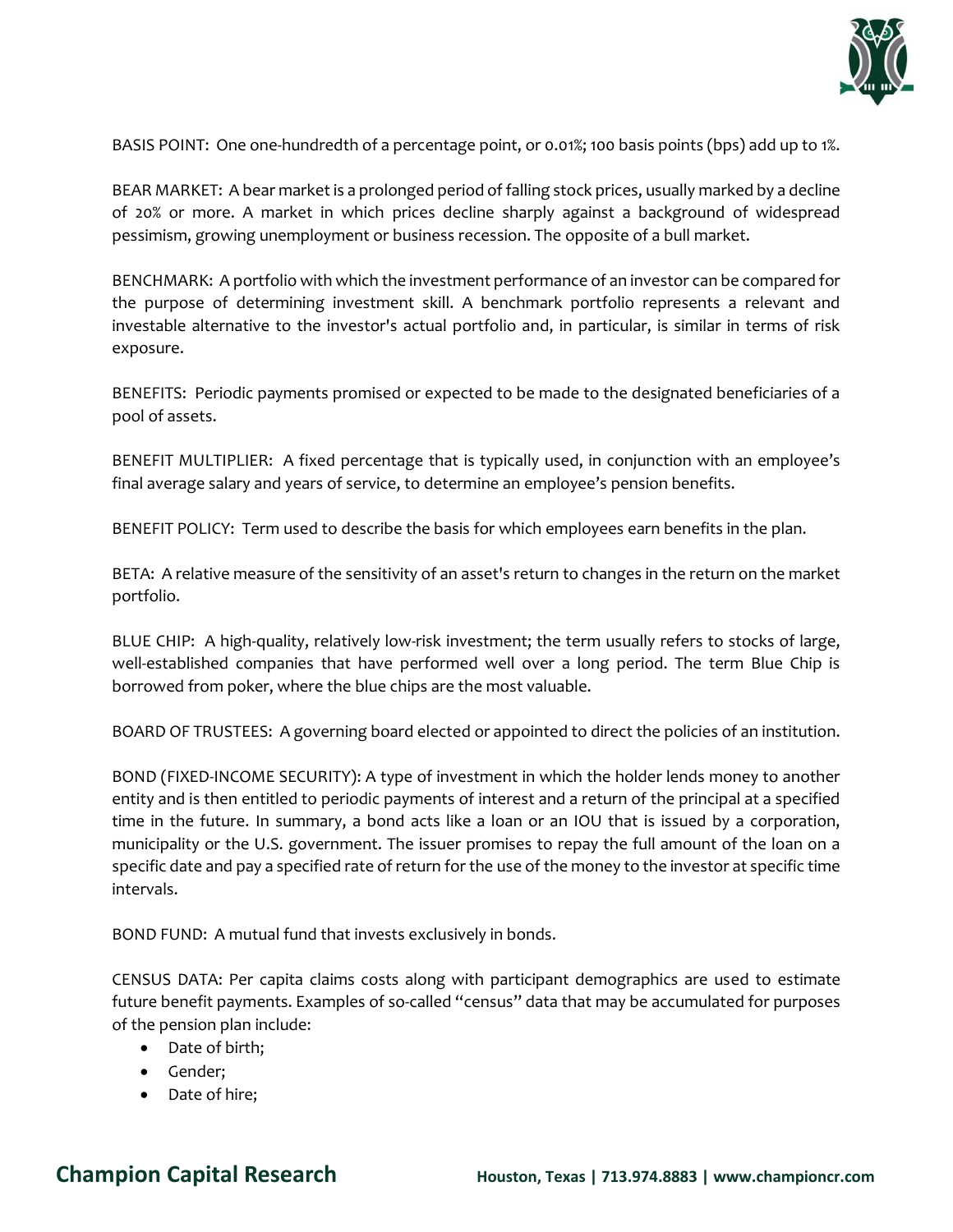

BASIS POINT: One one-hundredth of a percentage point, or 0.01%; 100 basis points (bps) add up to 1%.

BEAR MARKET: A bear market is a prolonged period of falling stock prices, usually marked by a decline of 20% or more. A market in which prices decline sharply against a background of widespread pessimism, growing unemployment or business recession. The opposite of a bull market.

BENCHMARK: A portfolio with which the investment performance of an investor can be compared for the purpose of determining investment skill. A benchmark portfolio represents a relevant and investable alternative to the investor's actual portfolio and, in particular, is similar in terms of risk exposure.

BENEFITS: Periodic payments promised or expected to be made to the designated beneficiaries of a pool of assets.

BENEFIT MULTIPLIER: A fixed percentage that is typically used, in conjunction with an employee's final average salary and years of service, to determine an employee's pension benefits.

BENEFIT POLICY: Term used to describe the basis for which employees earn benefits in the plan.

BETA: A relative measure of the sensitivity of an asset's return to changes in the return on the market portfolio.

BLUE CHIP: A high-quality, relatively low-risk investment; the term usually refers to stocks of large, well-established companies that have performed well over a long period. The term Blue Chip is borrowed from poker, where the blue chips are the most valuable.

BOARD OF TRUSTEES: A governing board elected or appointed to direct the policies of an institution.

BOND (FIXED-INCOME SECURITY): A type of investment in which the holder lends money to another entity and is then entitled to periodic payments of interest and a return of the principal at a specified time in the future. In summary, a bond acts like a loan or an IOU that is issued by a corporation, municipality or the U.S. government. The issuer promises to repay the full amount of the loan on a specific date and pay a specified rate of return for the use of the money to the investor at specific time intervals.

BOND FUND: A mutual fund that invests exclusively in bonds.

CENSUS DATA: Per capita claims costs along with participant demographics are used to estimate future benefit payments. Examples of so-called "census" data that may be accumulated for purposes of the pension plan include:

- Date of birth;
- Gender;
- Date of hire;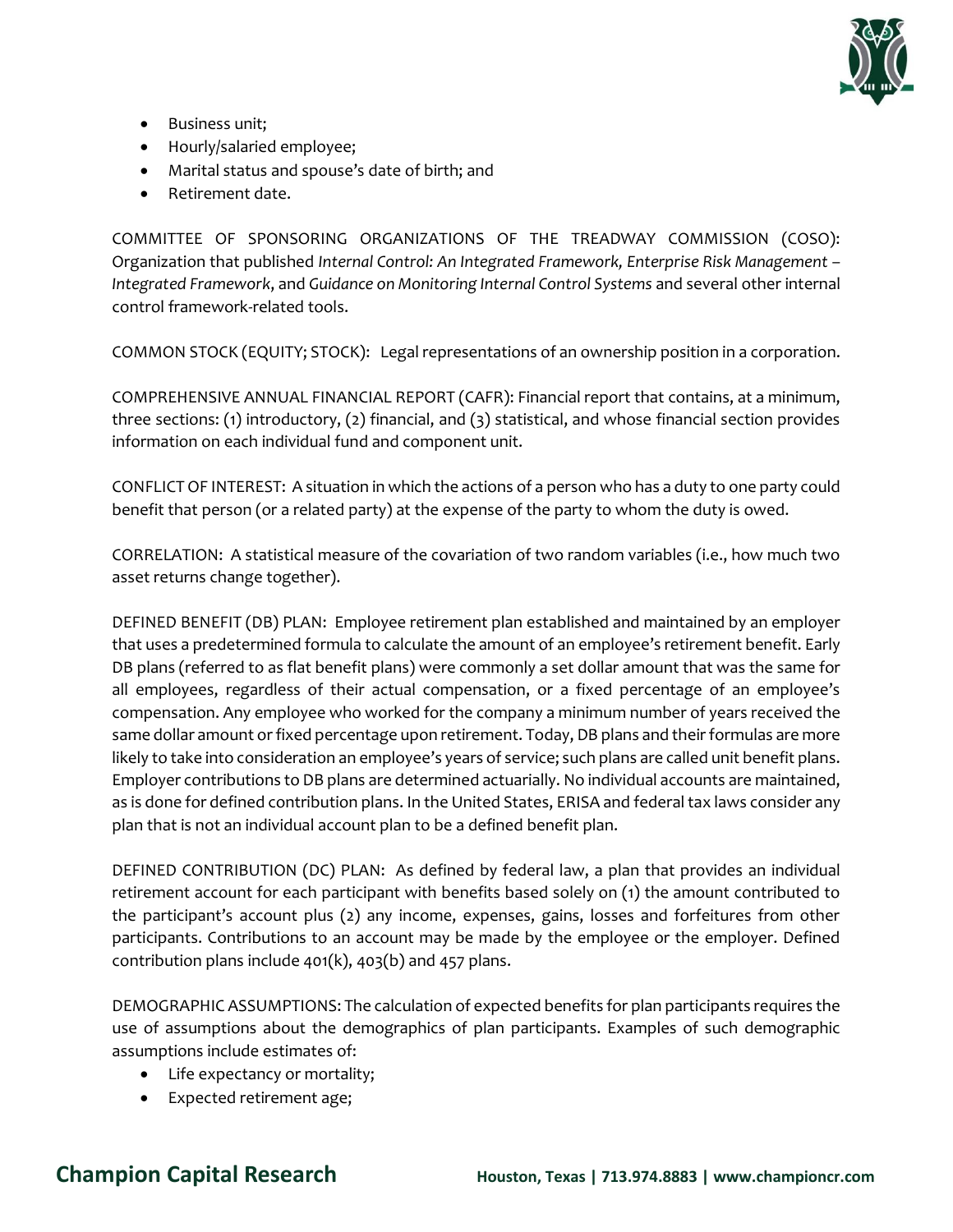

- Business unit;
- Hourly/salaried employee;
- Marital status and spouse's date of birth; and
- Retirement date.

COMMITTEE OF SPONSORING ORGANIZATIONS OF THE TREADWAY COMMISSION (COSO): Organization that published *Internal Control: An Integrated Framework, Enterprise Risk Management – Integrated Framework*, and *Guidance on Monitoring Internal Control Systems* and several other internal control framework-related tools.

COMMON STOCK (EQUITY; STOCK): Legal representations of an ownership position in a corporation.

COMPREHENSIVE ANNUAL FINANCIAL REPORT (CAFR): Financial report that contains, at a minimum, three sections: (1) introductory, (2) financial, and (3) statistical, and whose financial section provides information on each individual fund and component unit.

CONFLICT OF INTEREST: A situation in which the actions of a person who has a duty to one party could benefit that person (or a related party) at the expense of the party to whom the duty is owed.

CORRELATION: A statistical measure of the covariation of two random variables (i.e., how much two asset returns change together).

DEFINED BENEFIT (DB) PLAN: Employee retirement plan established and maintained by an employer that uses a predetermined formula to calculate the amount of an employee's retirement benefit. Early DB plans (referred to as flat benefit plans) were commonly a set dollar amount that was the same for all employees, regardless of their actual compensation, or a fixed percentage of an employee's compensation. Any employee who worked for the company a minimum number of years received the same dollar amount orfixed percentage upon retirement. Today, DB plans and their formulas are more likely to take into consideration an employee's years of service; such plans are called unit benefit plans. Employer contributions to DB plans are determined actuarially. No individual accounts are maintained, as is done for defined contribution plans. In the United States, ERISA and federal tax laws consider any plan that is not an individual account plan to be a defined benefit plan.

DEFINED CONTRIBUTION (DC) PLAN: As defined by federal law, a plan that provides an individual retirement account for each participant with benefits based solely on (1) the amount contributed to the participant's account plus (2) any income, expenses, gains, losses and forfeitures from other participants. Contributions to an account may be made by the employee or the employer. Defined contribution plans include  $401(k)$ ,  $403(b)$  and  $457$  plans.

DEMOGRAPHIC ASSUMPTIONS: The calculation of expected benefits for plan participants requires the use of assumptions about the demographics of plan participants. Examples of such demographic assumptions include estimates of:

- Life expectancy or mortality;
- Expected retirement age;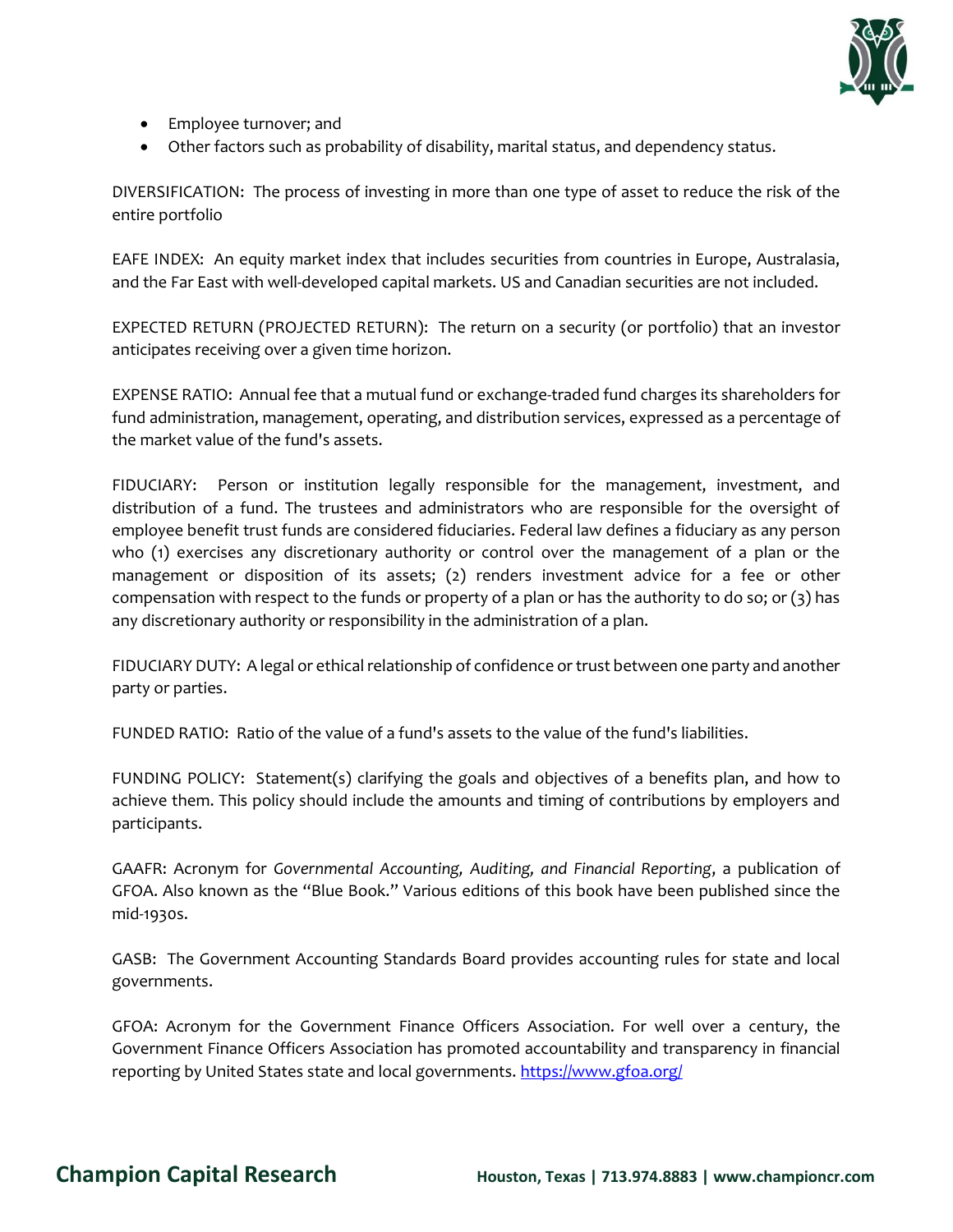

- Employee turnover; and
- Other factors such as probability of disability, marital status, and dependency status.

DIVERSIFICATION: The process of investing in more than one type of asset to reduce the risk of the entire portfolio

EAFE INDEX: An equity market index that includes securities from countries in Europe, Australasia, and the Far East with well-developed capital markets. US and Canadian securities are not included.

EXPECTED RETURN (PROJECTED RETURN): The return on a security (or portfolio) that an investor anticipates receiving over a given time horizon.

EXPENSE RATIO: Annual fee that a mutual fund or exchange-traded fund charges its shareholders for fund administration, management, operating, and distribution services, expressed as a percentage of the market value of the fund's assets.

FIDUCIARY: Person or institution legally responsible for the management, investment, and distribution of a fund. The trustees and administrators who are responsible for the oversight of employee benefit trust funds are considered fiduciaries. Federal law defines a fiduciary as any person who (1) exercises any discretionary authority or control over the management of a plan or the management or disposition of its assets; (2) renders investment advice for a fee or other compensation with respect to the funds or property of a plan or has the authority to do so; or (3) has any discretionary authority or responsibility in the administration of a plan.

FIDUCIARY DUTY: A legal or ethical relationship of confidence or trust between one party and another party or parties.

FUNDED RATIO: Ratio of the value of a fund's assets to the value of the fund's liabilities.

FUNDING POLICY: Statement(s) clarifying the goals and objectives of a benefits plan, and how to achieve them. This policy should include the amounts and timing of contributions by employers and participants.

GAAFR: Acronym for *Governmental Accounting, Auditing, and Financial Reporting*, a publication of GFOA. Also known as the "Blue Book." Various editions of this book have been published since the mid-1930s.

GASB: The Government Accounting Standards Board provides accounting rules for state and local governments.

GFOA: Acronym for the Government Finance Officers Association. For well over a century, the Government Finance Officers Association has promoted accountability and transparency in financial reporting by United States state and local governments.<https://www.gfoa.org/>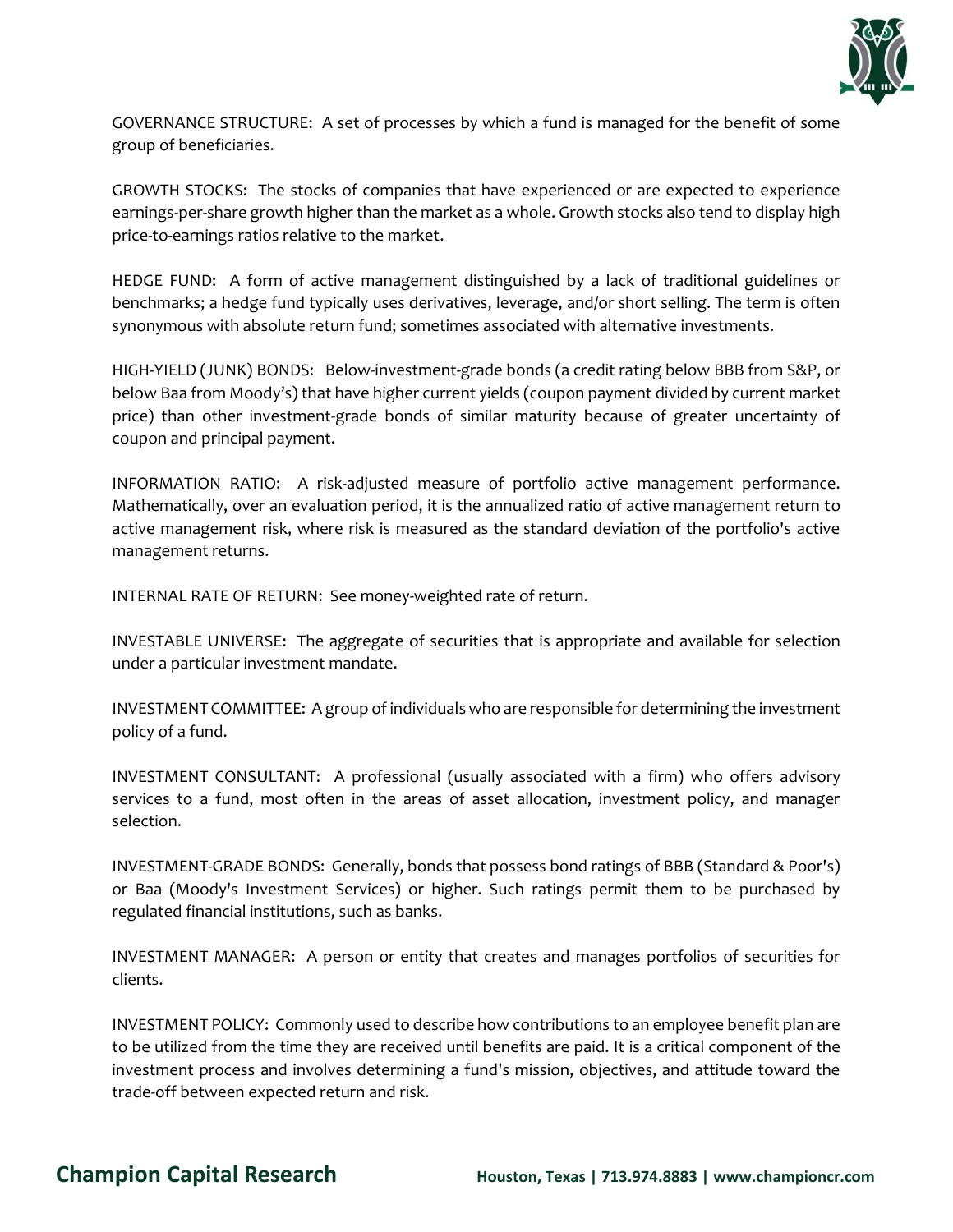

GOVERNANCE STRUCTURE: A set of processes by which a fund is managed for the benefit of some group of beneficiaries.

GROWTH STOCKS: The stocks of companies that have experienced or are expected to experience earnings-per-share growth higher than the market as a whole. Growth stocks also tend to display high price-to-earnings ratios relative to the market.

HEDGE FUND: A form of active management distinguished by a lack of traditional guidelines or benchmarks; a hedge fund typically uses derivatives, leverage, and/or short selling. The term is often synonymous with absolute return fund; sometimes associated with alternative investments.

HIGH-YIELD (JUNK) BONDS: Below-investment-grade bonds (a credit rating below BBB from S&P, or below Baa from Moody's) that have higher current yields (coupon payment divided by current market price) than other investment-grade bonds of similar maturity because of greater uncertainty of coupon and principal payment.

INFORMATION RATIO: A risk-adjusted measure of portfolio active management performance. Mathematically, over an evaluation period, it is the annualized ratio of active management return to active management risk, where risk is measured as the standard deviation of the portfolio's active management returns.

INTERNAL RATE OF RETURN: See money-weighted rate of return.

INVESTABLE UNIVERSE: The aggregate of securities that is appropriate and available for selection under a particular investment mandate.

INVESTMENT COMMITTEE: A group of individuals who are responsible for determining the investment policy of a fund.

INVESTMENT CONSULTANT: A professional (usually associated with a firm) who offers advisory services to a fund, most often in the areas of asset allocation, investment policy, and manager selection.

INVESTMENT-GRADE BONDS: Generally, bonds that possess bond ratings of BBB (Standard & Poor's) or Baa (Moody's Investment Services) or higher. Such ratings permit them to be purchased by regulated financial institutions, such as banks.

INVESTMENT MANAGER: A person or entity that creates and manages portfolios of securities for clients.

INVESTMENT POLICY: Commonly used to describe how contributions to an employee benefit plan are to be utilized from the time they are received until benefits are paid. It is a critical component of the investment process and involves determining a fund's mission, objectives, and attitude toward the trade-off between expected return and risk.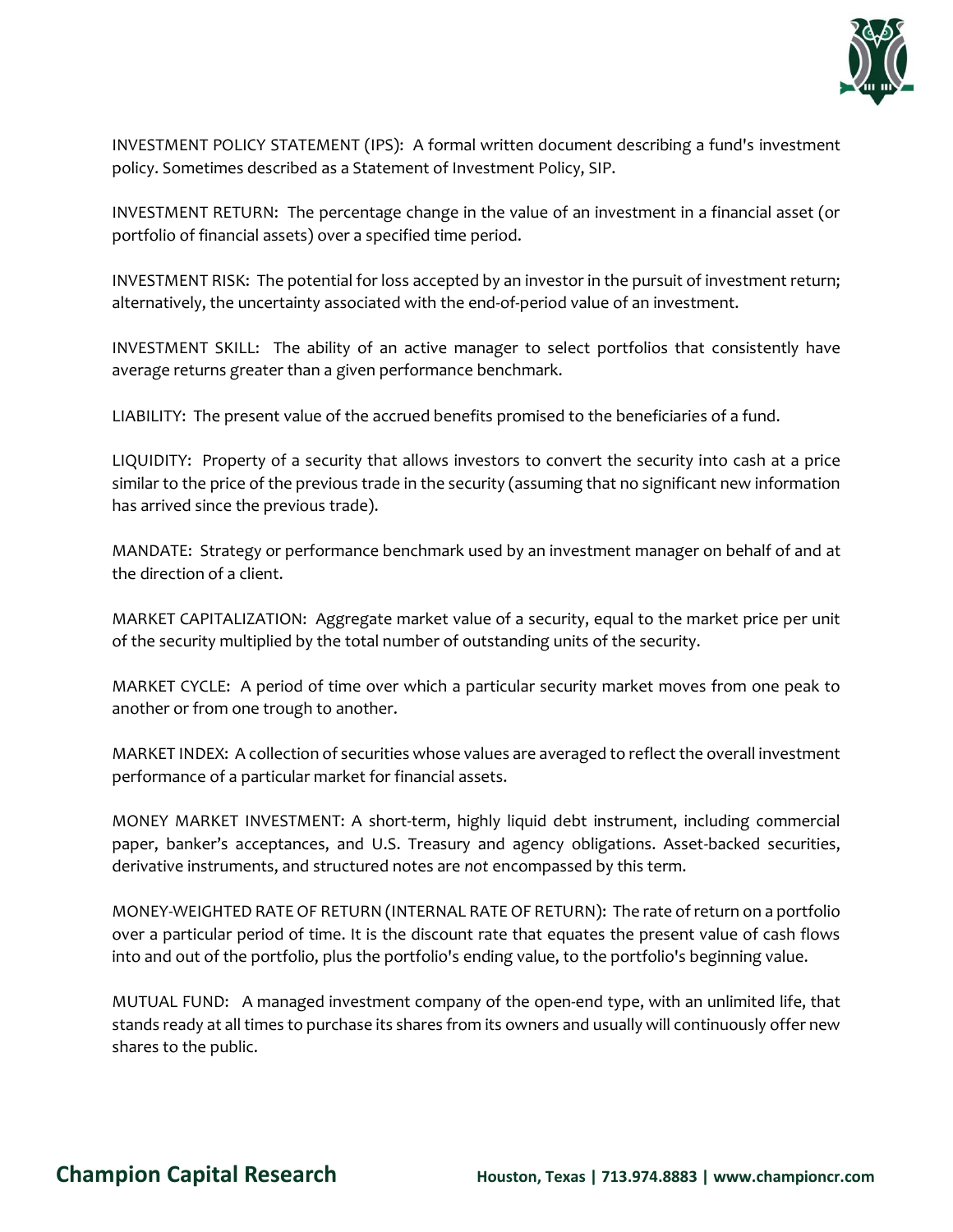

INVESTMENT POLICY STATEMENT (IPS): A formal written document describing a fund's investment policy. Sometimes described as a Statement of Investment Policy, SIP.

INVESTMENT RETURN: The percentage change in the value of an investment in a financial asset (or portfolio of financial assets) over a specified time period.

INVESTMENT RISK: The potential for loss accepted by an investor in the pursuit of investment return; alternatively, the uncertainty associated with the end-of-period value of an investment.

INVESTMENT SKILL: The ability of an active manager to select portfolios that consistently have average returns greater than a given performance benchmark.

LIABILITY: The present value of the accrued benefits promised to the beneficiaries of a fund.

LIQUIDITY: Property of a security that allows investors to convert the security into cash at a price similar to the price of the previous trade in the security (assuming that no significant new information has arrived since the previous trade).

MANDATE: Strategy or performance benchmark used by an investment manager on behalf of and at the direction of a client.

MARKET CAPITALIZATION: Aggregate market value of a security, equal to the market price per unit of the security multiplied by the total number of outstanding units of the security.

MARKET CYCLE: A period of time over which a particular security market moves from one peak to another or from one trough to another.

MARKET INDEX: A collection of securities whose values are averaged to reflect the overall investment performance of a particular market for financial assets.

MONEY MARKET INVESTMENT: A short-term, highly liquid debt instrument, including commercial paper, banker's acceptances, and U.S. Treasury and agency obligations. Asset-backed securities, derivative instruments, and structured notes are *not* encompassed by this term.

MONEY-WEIGHTED RATE OF RETURN (INTERNAL RATE OF RETURN): The rate of return on a portfolio over a particular period of time. It is the discount rate that equates the present value of cash flows into and out of the portfolio, plus the portfolio's ending value, to the portfolio's beginning value.

MUTUAL FUND: A managed investment company of the open-end type, with an unlimited life, that stands ready at all times to purchase its shares from its owners and usually will continuously offer new shares to the public.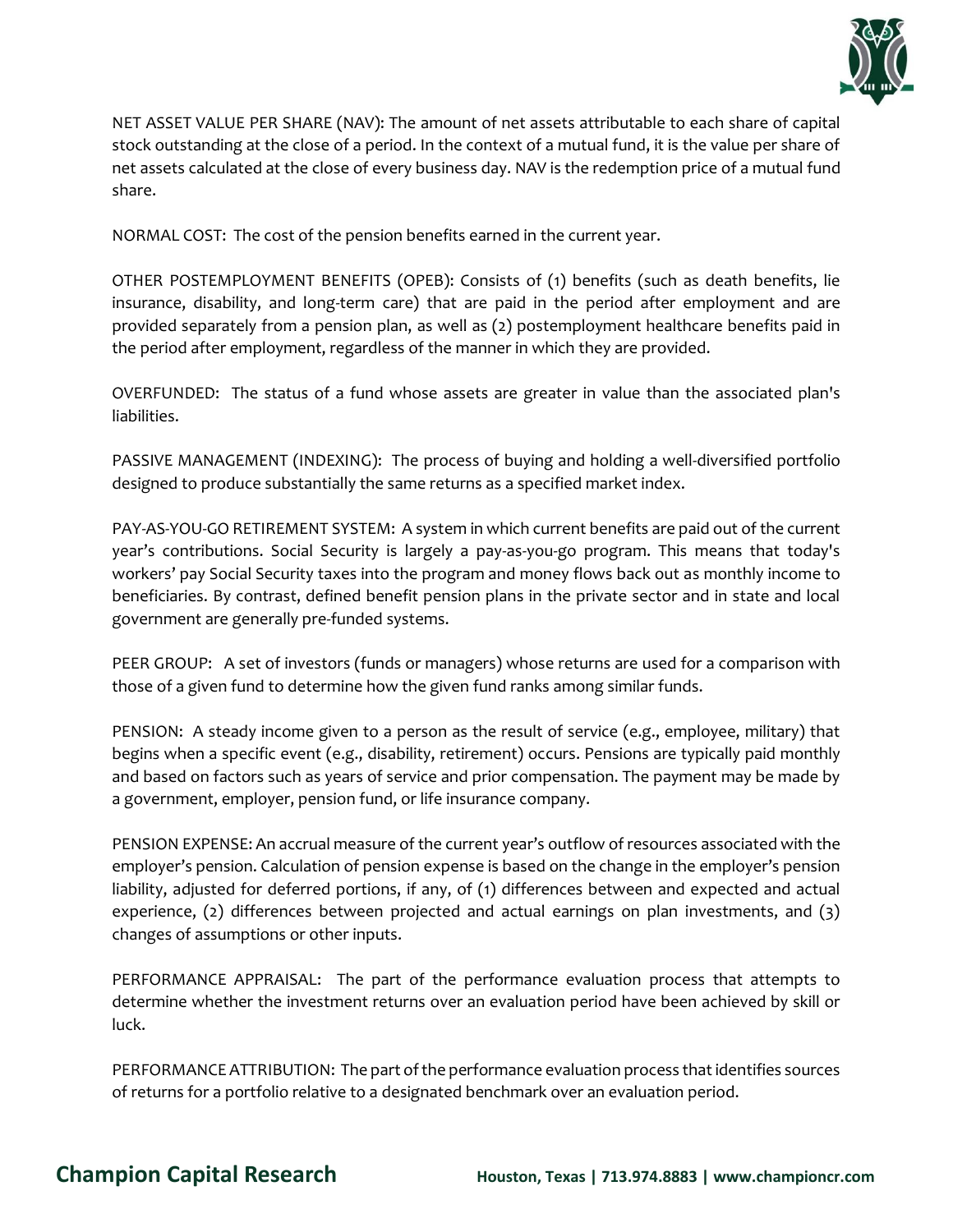

NET ASSET VALUE PER SHARE (NAV): The amount of net assets attributable to each share of capital stock outstanding at the close of a period. In the context of a mutual fund, it is the value per share of net assets calculated at the close of every business day. NAV is the redemption price of a mutual fund share.

NORMAL COST: The cost of the pension benefits earned in the current year.

OTHER POSTEMPLOYMENT BENEFITS (OPEB): Consists of (1) benefits (such as death benefits, lie insurance, disability, and long-term care) that are paid in the period after employment and are provided separately from a pension plan, as well as (2) postemployment healthcare benefits paid in the period after employment, regardless of the manner in which they are provided.

OVERFUNDED: The status of a fund whose assets are greater in value than the associated plan's liabilities.

PASSIVE MANAGEMENT (INDEXING): The process of buying and holding a well-diversified portfolio designed to produce substantially the same returns as a specified market index.

PAY-AS-YOU-GO RETIREMENT SYSTEM: A system in which current benefits are paid out of the current year's contributions. Social Security is largely a pay-as-you-go program. This means that today's workers' pay Social Security taxes into the program and money flows back out as monthly income to beneficiaries. By contrast, defined benefit pension plans in the private sector and in state and local government are generally pre-funded systems.

PEER GROUP: A set of investors (funds or managers) whose returns are used for a comparison with those of a given fund to determine how the given fund ranks among similar funds.

PENSION: A steady income given to a person as the result of service (e.g., employee, military) that begins when a specific event (e.g., disability, retirement) occurs. Pensions are typically paid monthly and based on factors such as years of service and prior compensation. The payment may be made by a government, employer, pension fund, or life insurance company.

PENSION EXPENSE: An accrual measure of the current year's outflow of resources associated with the employer's pension. Calculation of pension expense is based on the change in the employer's pension liability, adjusted for deferred portions, if any, of (1) differences between and expected and actual experience, (2) differences between projected and actual earnings on plan investments, and (3) changes of assumptions or other inputs.

PERFORMANCE APPRAISAL: The part of the performance evaluation process that attempts to determine whether the investment returns over an evaluation period have been achieved by skill or luck.

PERFORMANCE ATTRIBUTION: The part of the performance evaluation process that identifies sources of returns for a portfolio relative to a designated benchmark over an evaluation period.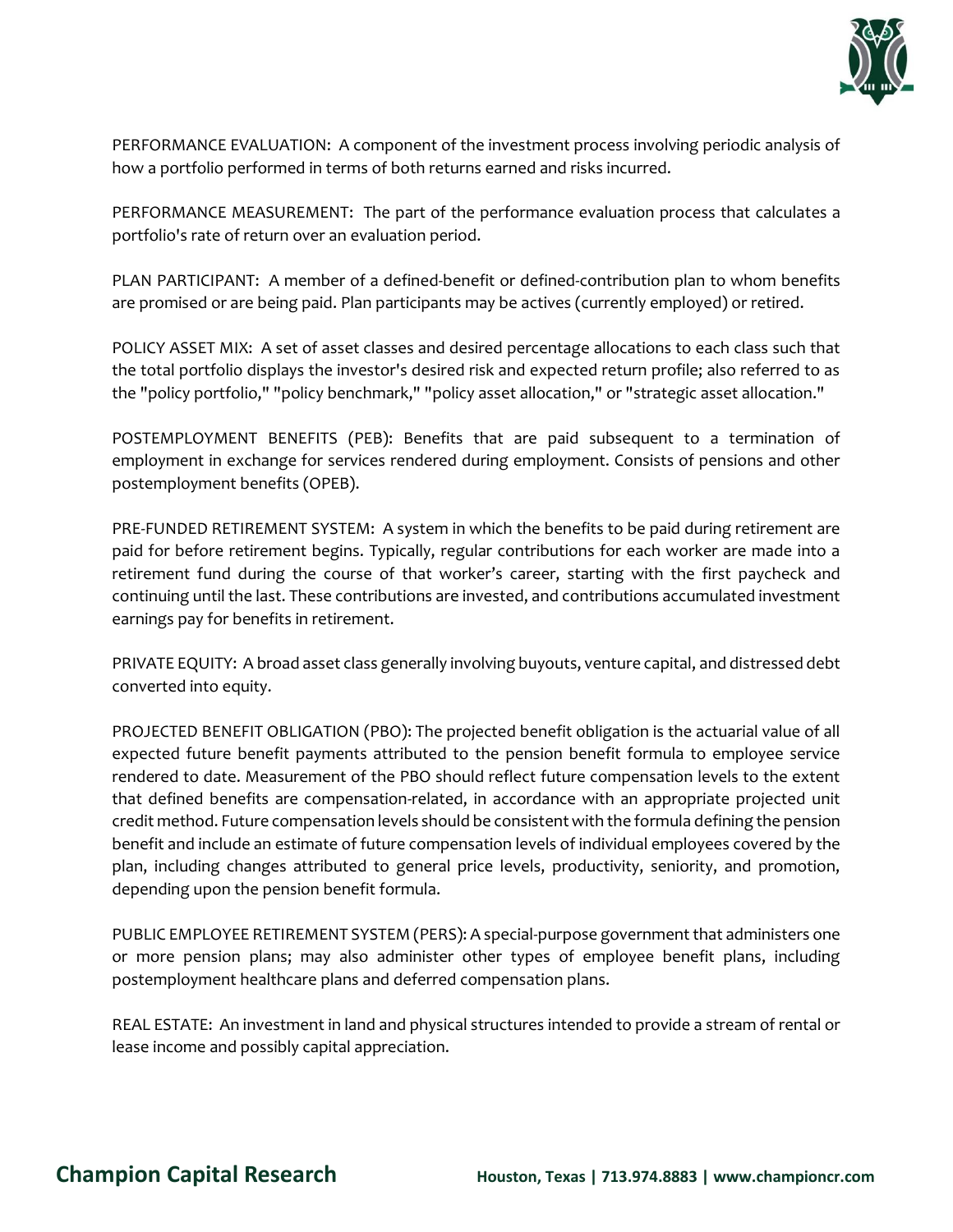

PERFORMANCE EVALUATION: A component of the investment process involving periodic analysis of how a portfolio performed in terms of both returns earned and risks incurred.

PERFORMANCE MEASUREMENT: The part of the performance evaluation process that calculates a portfolio's rate of return over an evaluation period.

PLAN PARTICIPANT: A member of a defined-benefit or defined-contribution plan to whom benefits are promised or are being paid. Plan participants may be actives (currently employed) or retired.

POLICY ASSET MIX: A set of asset classes and desired percentage allocations to each class such that the total portfolio displays the investor's desired risk and expected return profile; also referred to as the "policy portfolio," "policy benchmark," "policy asset allocation," or "strategic asset allocation."

POSTEMPLOYMENT BENEFITS (PEB): Benefits that are paid subsequent to a termination of employment in exchange for services rendered during employment. Consists of pensions and other postemployment benefits (OPEB).

PRE-FUNDED RETIREMENT SYSTEM: A system in which the benefits to be paid during retirement are paid for before retirement begins. Typically, regular contributions for each worker are made into a retirement fund during the course of that worker's career, starting with the first paycheck and continuing until the last. These contributions are invested, and contributions accumulated investment earnings pay for benefits in retirement.

PRIVATE EQUITY: A broad asset class generally involving buyouts, venture capital, and distressed debt converted into equity.

PROJECTED BENEFIT OBLIGATION (PBO): The projected benefit obligation is the actuarial value of all expected future benefit payments attributed to the pension benefit formula to employee service rendered to date. Measurement of the PBO should reflect future compensation levels to the extent that defined benefits are compensation-related, in accordance with an appropriate projected unit credit method. Future compensation levels should be consistent with the formula defining the pension benefit and include an estimate of future compensation levels of individual employees covered by the plan, including changes attributed to general price levels, productivity, seniority, and promotion, depending upon the pension benefit formula.

PUBLIC EMPLOYEE RETIREMENT SYSTEM (PERS): A special-purpose government that administers one or more pension plans; may also administer other types of employee benefit plans, including postemployment healthcare plans and deferred compensation plans.

REAL ESTATE: An investment in land and physical structures intended to provide a stream of rental or lease income and possibly capital appreciation.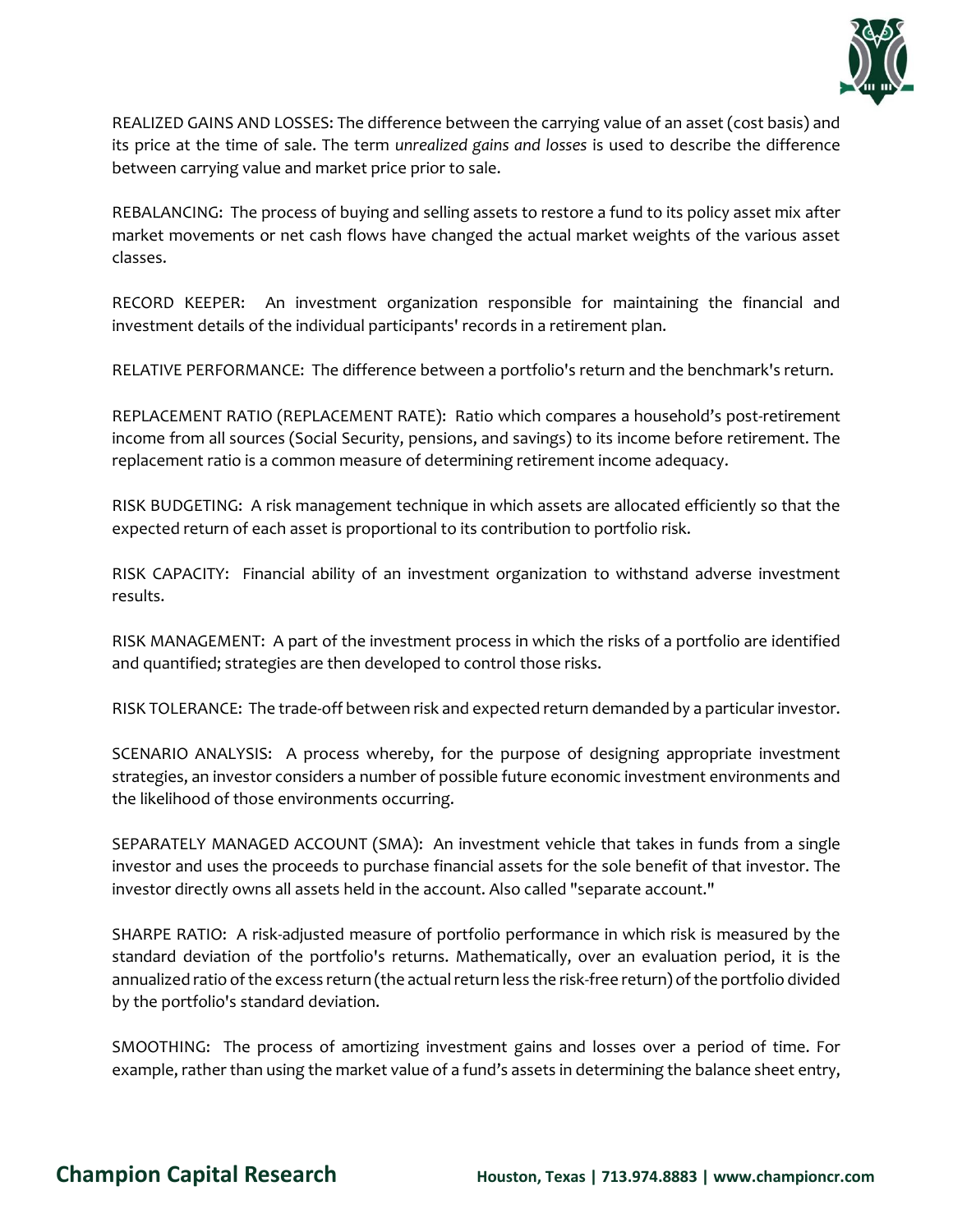

REALIZED GAINS AND LOSSES: The difference between the carrying value of an asset (cost basis) and its price at the time of sale. The term *unrealized gains and losses* is used to describe the difference between carrying value and market price prior to sale.

REBALANCING: The process of buying and selling assets to restore a fund to its policy asset mix after market movements or net cash flows have changed the actual market weights of the various asset classes.

RECORD KEEPER: An investment organization responsible for maintaining the financial and investment details of the individual participants' records in a retirement plan.

RELATIVE PERFORMANCE: The difference between a portfolio's return and the benchmark's return.

REPLACEMENT RATIO (REPLACEMENT RATE): Ratio which compares a household's post-retirement income from all sources (Social Security, pensions, and savings) to its income before retirement. The replacement ratio is a common measure of determining retirement income adequacy.

RISK BUDGETING: A risk management technique in which assets are allocated efficiently so that the expected return of each asset is proportional to its contribution to portfolio risk.

RISK CAPACITY: Financial ability of an investment organization to withstand adverse investment results.

RISK MANAGEMENT: A part of the investment process in which the risks of a portfolio are identified and quantified; strategies are then developed to control those risks.

RISK TOLERANCE: The trade-off between risk and expected return demanded by a particular investor.

SCENARIO ANALYSIS: A process whereby, for the purpose of designing appropriate investment strategies, an investor considers a number of possible future economic investment environments and the likelihood of those environments occurring.

SEPARATELY MANAGED ACCOUNT (SMA): An investment vehicle that takes in funds from a single investor and uses the proceeds to purchase financial assets for the sole benefit of that investor. The investor directly owns all assets held in the account. Also called "separate account."

SHARPE RATIO: A risk-adjusted measure of portfolio performance in which risk is measured by the standard deviation of the portfolio's returns. Mathematically, over an evaluation period, it is the annualized ratio of the excess return (the actual return less the risk-free return) of the portfolio divided by the portfolio's standard deviation.

SMOOTHING: The process of amortizing investment gains and losses over a period of time. For example, rather than using the market value of a fund's assets in determining the balance sheet entry,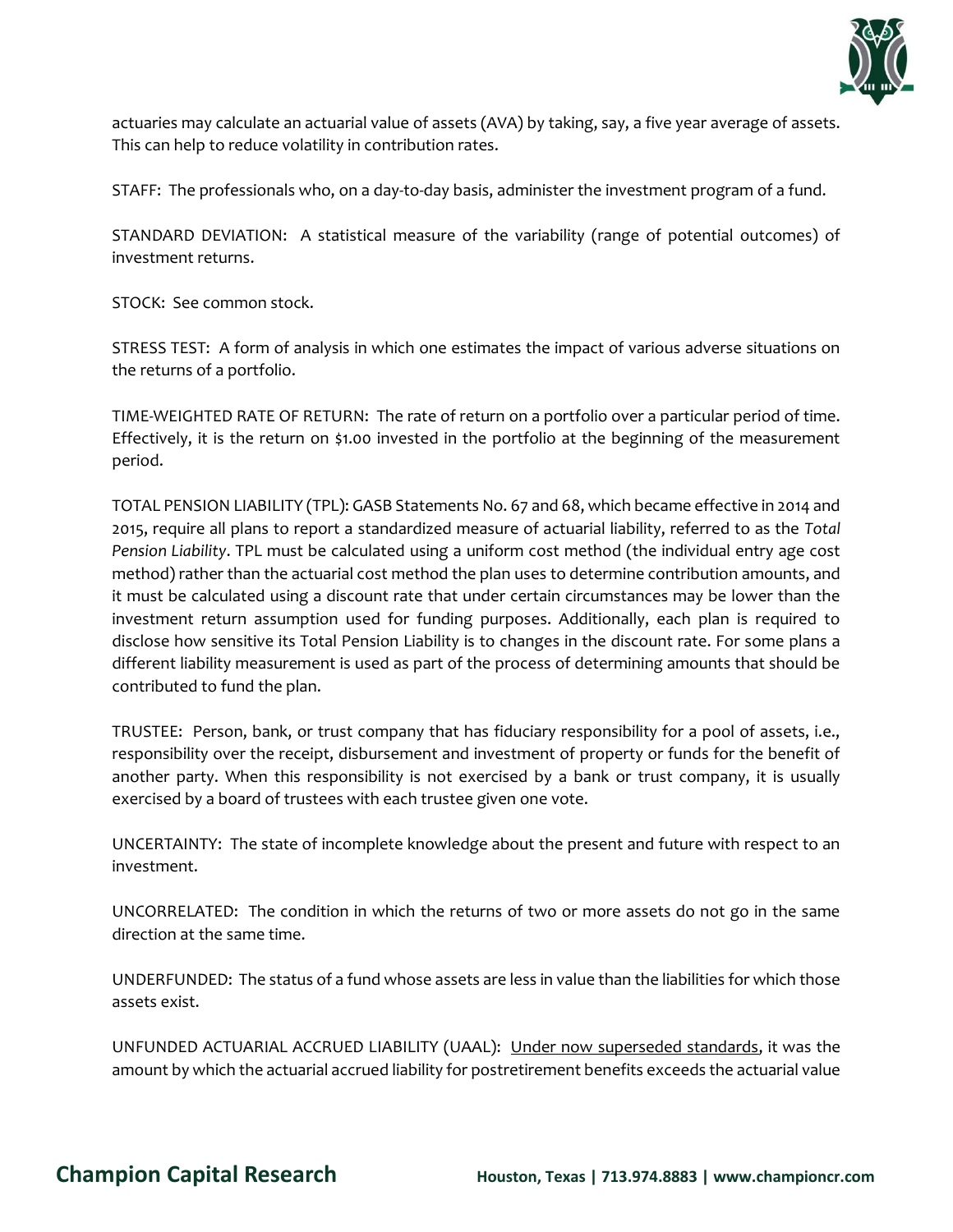

actuaries may calculate an actuarial value of assets (AVA) by taking, say, a five year average of assets. This can help to reduce volatility in contribution rates.

STAFF: The professionals who, on a day-to-day basis, administer the investment program of a fund.

STANDARD DEVIATION: A statistical measure of the variability (range of potential outcomes) of investment returns.

STOCK: See common stock.

STRESS TEST: A form of analysis in which one estimates the impact of various adverse situations on the returns of a portfolio.

TIME-WEIGHTED RATE OF RETURN: The rate of return on a portfolio over a particular period of time. Effectively, it is the return on \$1.00 invested in the portfolio at the beginning of the measurement period.

TOTAL PENSION LIABILITY (TPL): GASB Statements No. 67 and 68, which became effective in 2014 and 2015, require all plans to report a standardized measure of actuarial liability, referred to as the *Total Pension Liability*. TPL must be calculated using a uniform cost method (the individual entry age cost method) rather than the actuarial cost method the plan uses to determine contribution amounts, and it must be calculated using a discount rate that under certain circumstances may be lower than the investment return assumption used for funding purposes. Additionally, each plan is required to disclose how sensitive its Total Pension Liability is to changes in the discount rate. For some plans a different liability measurement is used as part of the process of determining amounts that should be contributed to fund the plan.

TRUSTEE: Person, bank, or trust company that has fiduciary responsibility for a pool of assets, i.e., responsibility over the receipt, disbursement and investment of property or funds for the benefit of another party. When this responsibility is not exercised by a bank or trust company, it is usually exercised by a board of trustees with each trustee given one vote.

UNCERTAINTY: The state of incomplete knowledge about the present and future with respect to an investment.

UNCORRELATED: The condition in which the returns of two or more assets do not go in the same direction at the same time.

UNDERFUNDED: The status of a fund whose assets are less in value than the liabilities for which those assets exist.

UNFUNDED ACTUARIAL ACCRUED LIABILITY (UAAL): Under now superseded standards, it was the amount by which the actuarial accrued liability for postretirement benefits exceeds the actuarial value